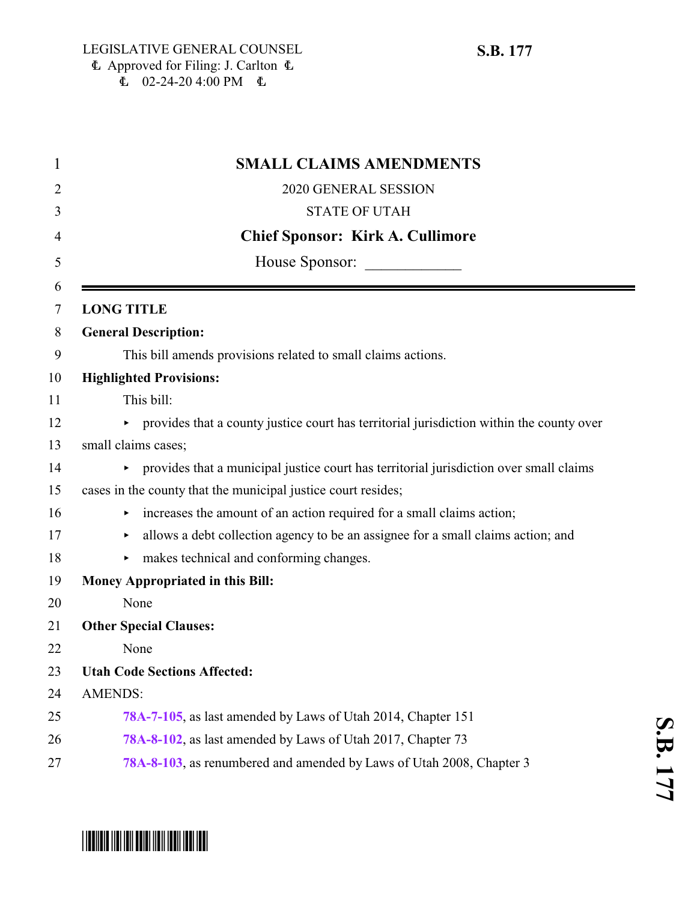|                   | <b>SMALL CLAIMS AMENDMENTS</b>                                                             |
|-------------------|--------------------------------------------------------------------------------------------|
|                   | 2020 GENERAL SESSION                                                                       |
|                   | <b>STATE OF UTAH</b>                                                                       |
|                   | <b>Chief Sponsor: Kirk A. Cullimore</b>                                                    |
|                   | House Sponsor:                                                                             |
| <b>LONG TITLE</b> |                                                                                            |
|                   | <b>General Description:</b>                                                                |
|                   | This bill amends provisions related to small claims actions.                               |
|                   | <b>Highlighted Provisions:</b>                                                             |
|                   | This bill:                                                                                 |
|                   | • provides that a county justice court has territorial jurisdiction within the county over |
|                   | small claims cases;                                                                        |
|                   | • provides that a municipal justice court has territorial jurisdiction over small claims   |
|                   | cases in the county that the municipal justice court resides;                              |
|                   | increases the amount of an action required for a small claims action;                      |
|                   | allows a debt collection agency to be an assignee for a small claims action; and<br>▶      |
|                   | makes technical and conforming changes.                                                    |
|                   | <b>Money Appropriated in this Bill:</b>                                                    |
|                   | None                                                                                       |
|                   | <b>Other Special Clauses:</b>                                                              |
|                   | None                                                                                       |
|                   | <b>Utah Code Sections Affected:</b>                                                        |
| <b>AMENDS:</b>    |                                                                                            |
|                   | 78A-7-105, as last amended by Laws of Utah 2014, Chapter 151                               |
|                   | 78A-8-102, as last amended by Laws of Utah 2017, Chapter 73                                |
|                   | 78A-8-103, as renumbered and amended by Laws of Utah 2008, Chapter 3                       |

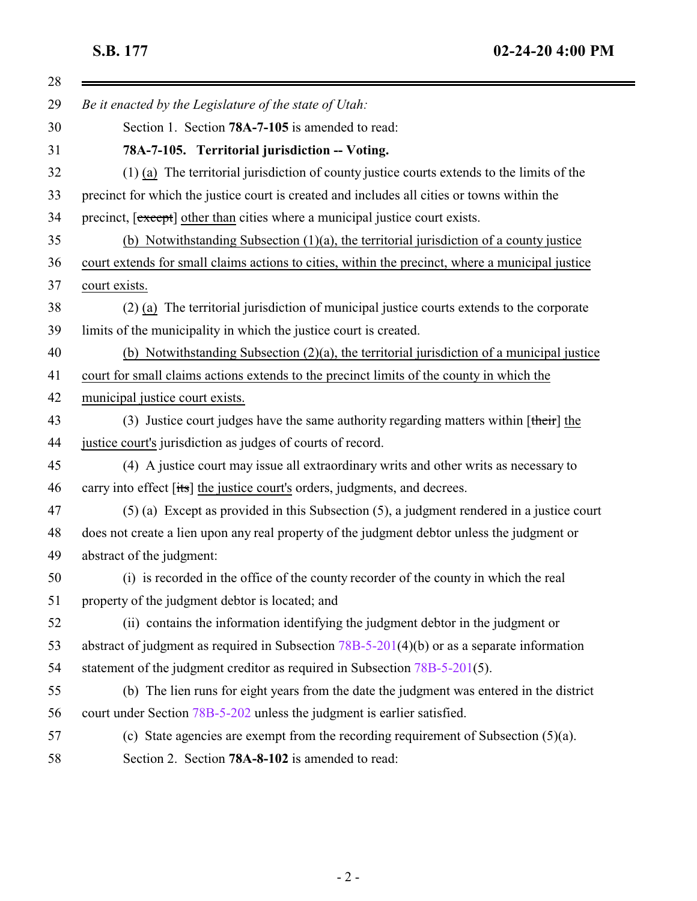$\equiv$ 

<span id="page-1-1"></span><span id="page-1-0"></span>

| 28 |                                                                                                  |
|----|--------------------------------------------------------------------------------------------------|
| 29 | Be it enacted by the Legislature of the state of Utah:                                           |
| 30 | Section 1. Section 78A-7-105 is amended to read:                                                 |
| 31 | 78A-7-105. Territorial jurisdiction -- Voting.                                                   |
| 32 | (1) (a) The territorial jurisdiction of county justice courts extends to the limits of the       |
| 33 | precinct for which the justice court is created and includes all cities or towns within the      |
| 34 | precinct, [except] other than cities where a municipal justice court exists.                     |
| 35 | (b) Notwithstanding Subsection $(1)(a)$ , the territorial jurisdiction of a county justice       |
| 36 | court extends for small claims actions to cities, within the precinct, where a municipal justice |
| 37 | court exists.                                                                                    |
| 38 | (2) (a) The territorial jurisdiction of municipal justice courts extends to the corporate        |
| 39 | limits of the municipality in which the justice court is created.                                |
| 40 | (b) Notwithstanding Subsection $(2)(a)$ , the territorial jurisdiction of a municipal justice    |
| 41 | court for small claims actions extends to the precinct limits of the county in which the         |
| 42 | municipal justice court exists.                                                                  |
| 43 | (3) Justice court judges have the same authority regarding matters within $[\text{their}]$ the   |
| 44 | justice court's jurisdiction as judges of courts of record.                                      |
| 45 | (4) A justice court may issue all extraordinary writs and other writs as necessary to            |
| 46 | carry into effect [its] the justice court's orders, judgments, and decrees.                      |
| 47 | $(5)$ (a) Except as provided in this Subsection $(5)$ , a judgment rendered in a justice court   |
| 48 | does not create a lien upon any real property of the judgment debtor unless the judgment or      |
| 49 | abstract of the judgment:                                                                        |
| 50 | (i) is recorded in the office of the county recorder of the county in which the real             |
| 51 | property of the judgment debtor is located; and                                                  |
| 52 | (ii) contains the information identifying the judgment debtor in the judgment or                 |
| 53 | abstract of judgment as required in Subsection $78B-5-201(4)(b)$ or as a separate information    |
| 54 | statement of the judgment creditor as required in Subsection 78B-5-201(5).                       |
| 55 | (b) The lien runs for eight years from the date the judgment was entered in the district         |
| 56 | court under Section 78B-5-202 unless the judgment is earlier satisfied.                          |
| 57 | (c) State agencies are exempt from the recording requirement of Subsection $(5)(a)$ .            |
| 58 | Section 2. Section 78A-8-102 is amended to read:                                                 |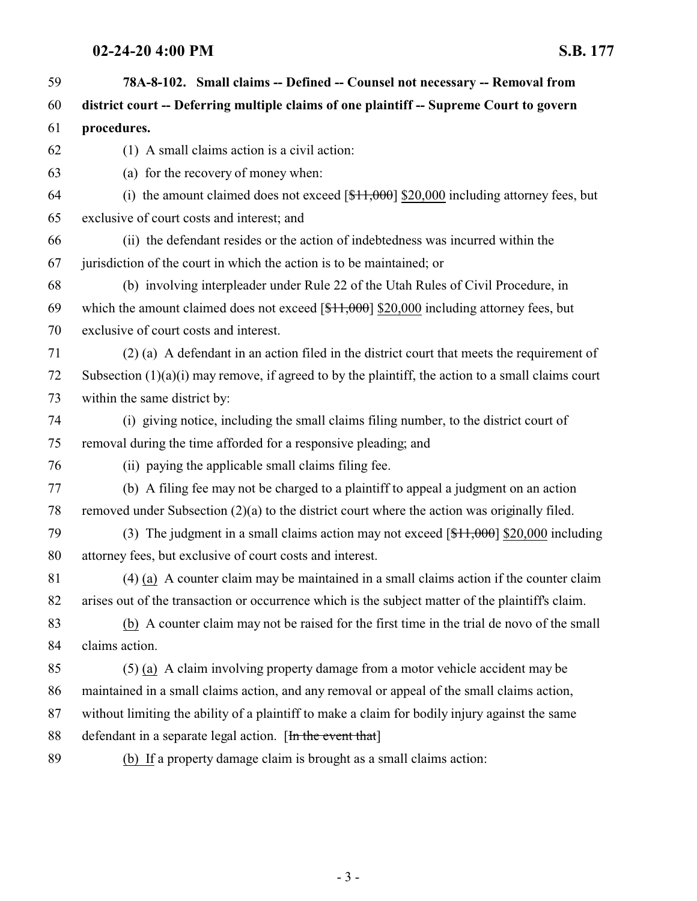## **02-24-20 4:00 PM S.B. 177**

| 59 | 78A-8-102. Small claims -- Defined -- Counsel not necessary -- Removal from                           |
|----|-------------------------------------------------------------------------------------------------------|
| 60 | district court -- Deferring multiple claims of one plaintiff -- Supreme Court to govern               |
| 61 | procedures.                                                                                           |
| 62 | (1) A small claims action is a civil action:                                                          |
| 63 | (a) for the recovery of money when:                                                                   |
| 64 | (i) the amount claimed does not exceed $[\frac{11,000}{1,000}]$ \$20,000 including attorney fees, but |
| 65 | exclusive of court costs and interest; and                                                            |
| 66 | (ii) the defendant resides or the action of indebtedness was incurred within the                      |
| 67 | jurisdiction of the court in which the action is to be maintained; or                                 |
| 68 | (b) involving interpleader under Rule 22 of the Utah Rules of Civil Procedure, in                     |
| 69 | which the amount claimed does not exceed $[$11,000]$ \$20,000 including attorney fees, but            |
| 70 | exclusive of court costs and interest.                                                                |
| 71 | (2) (a) A defendant in an action filed in the district court that meets the requirement of            |
| 72 | Subsection $(1)(a)(i)$ may remove, if agreed to by the plaintiff, the action to a small claims court  |
| 73 | within the same district by:                                                                          |
| 74 | (i) giving notice, including the small claims filing number, to the district court of                 |
| 75 | removal during the time afforded for a responsive pleading; and                                       |
| 76 | (ii) paying the applicable small claims filing fee.                                                   |
| 77 | (b) A filing fee may not be charged to a plaintiff to appeal a judgment on an action                  |
| 78 | removed under Subsection $(2)(a)$ to the district court where the action was originally filed.        |
| 79 | (3) The judgment in a small claims action may not exceed $[41,000]$ \$20,000 including                |
| 80 | attorney fees, but exclusive of court costs and interest.                                             |
| 81 | (4) (a) A counter claim may be maintained in a small claims action if the counter claim               |
| 82 | arises out of the transaction or occurrence which is the subject matter of the plaintiff's claim.     |
| 83 | (b) A counter claim may not be raised for the first time in the trial de novo of the small            |
| 84 | claims action.                                                                                        |
| 85 | (5) (a) A claim involving property damage from a motor vehicle accident may be                        |
| 86 | maintained in a small claims action, and any removal or appeal of the small claims action,            |
| 87 | without limiting the ability of a plaintiff to make a claim for bodily injury against the same        |
| 88 | defendant in a separate legal action. [In the event that]                                             |
| 89 | (b) If a property damage claim is brought as a small claims action:                                   |